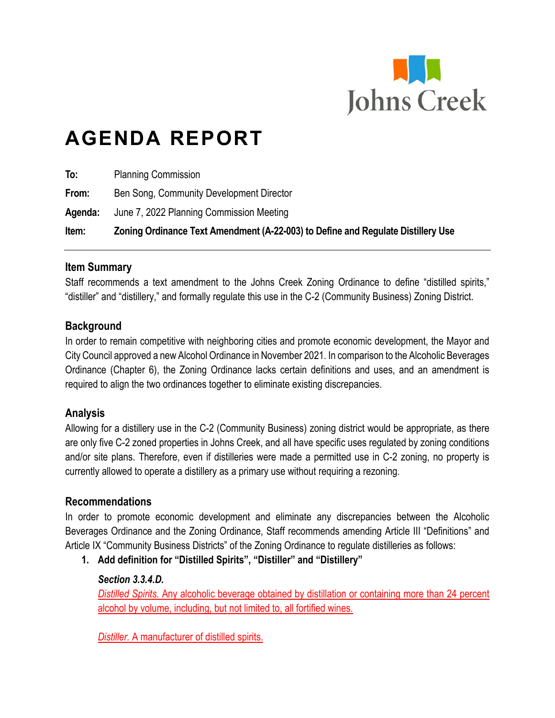

# **AGENDA REPORT**

| Item:   | Zoning Ordinance Text Amendment (A-22-003) to Define and Regulate Distillery Use |
|---------|----------------------------------------------------------------------------------|
| Agenda: | June 7, 2022 Planning Commission Meeting                                         |
| From:   | Ben Song, Community Development Director                                         |
| To:     | <b>Planning Commission</b>                                                       |

## **Item Summary**

Staff recommends a text amendment to the Johns Creek Zoning Ordinance to define "distilled spirits," "distiller" and "distillery," and formally regulate this use in the C-2 (Community Business) Zoning District.

# **Background**

In order to remain competitive with neighboring cities and promote economic development, the Mayor and City Council approved a new Alcohol Ordinance in November 2021. In comparison to the Alcoholic Beverages Ordinance (Chapter 6), the Zoning Ordinance lacks certain definitions and uses, and an amendment is required to align the two ordinances together to eliminate existing discrepancies.

# **Analysis**

Allowing for a distillery use in the C-2 (Community Business) zoning district would be appropriate, as there are only five C-2 zoned properties in Johns Creek, and all have specific uses regulated by zoning conditions and/or site plans. Therefore, even if distilleries were made a permitted use in C-2 zoning, no property is currently allowed to operate a distillery as a primary use without requiring a rezoning.

#### **Recommendations**

In order to promote economic development and eliminate any discrepancies between the Alcoholic Beverages Ordinance and the Zoning Ordinance, Staff recommends amending Article III "Definitions" and Article IX "Community Business Districts" of the Zoning Ordinance to regulate distilleries as follows:

**1. Add definition for "Distilled Spirits", "Distiller" and "Distillery"**

#### *Section 3.3.4.D.*

*Distilled Spirits.* Any alcoholic beverage obtained by distillation or containing more than 24 percent alcohol by volume, including, but not limited to, all fortified wines.

*Distiller.* A manufacturer of distilled spirits.